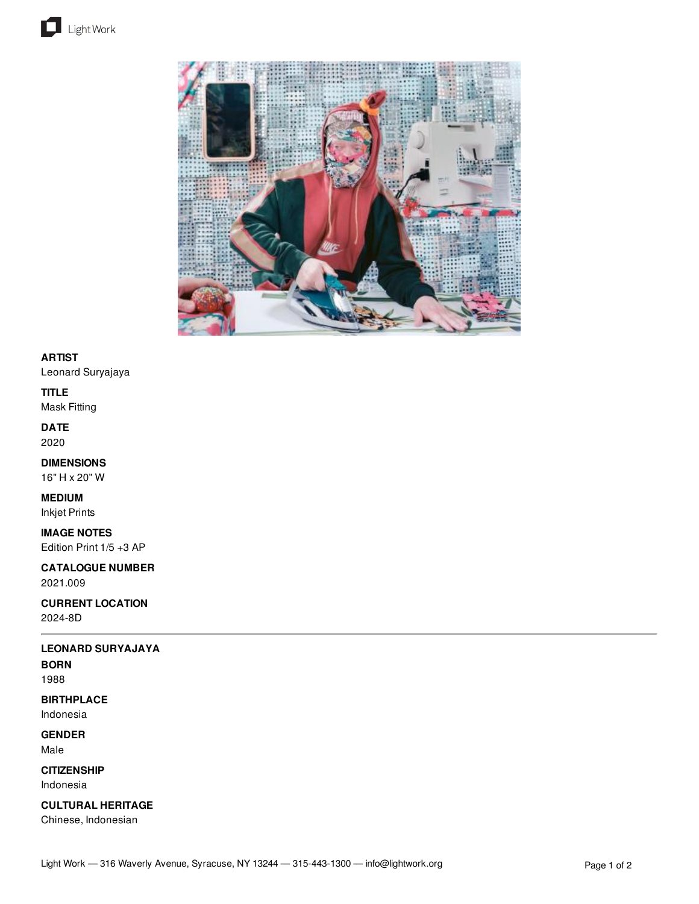



# **ARTIST**

Leonard Suryajaya

### **TITLE**

Mask Fitting

### **DATE** 2020

# **DIMENSIONS**

16" H x 20" W

# **MEDIUM**

Inkjet Prints

### **IMAGE NOTES**

Edition Print 1/5 +3 AP

### **CATALOGUE NUMBER** 2021.009

#### **CURRENT LOCATION** 2024-8D

# **LEONARD SURYAJAYA**

## **BORN**

1988

# **BIRTHPLACE**

Indonesia

### **GENDER** Male

**CITIZENSHIP**

Indonesia

# **CULTURAL HERITAGE**

Chinese, Indonesian